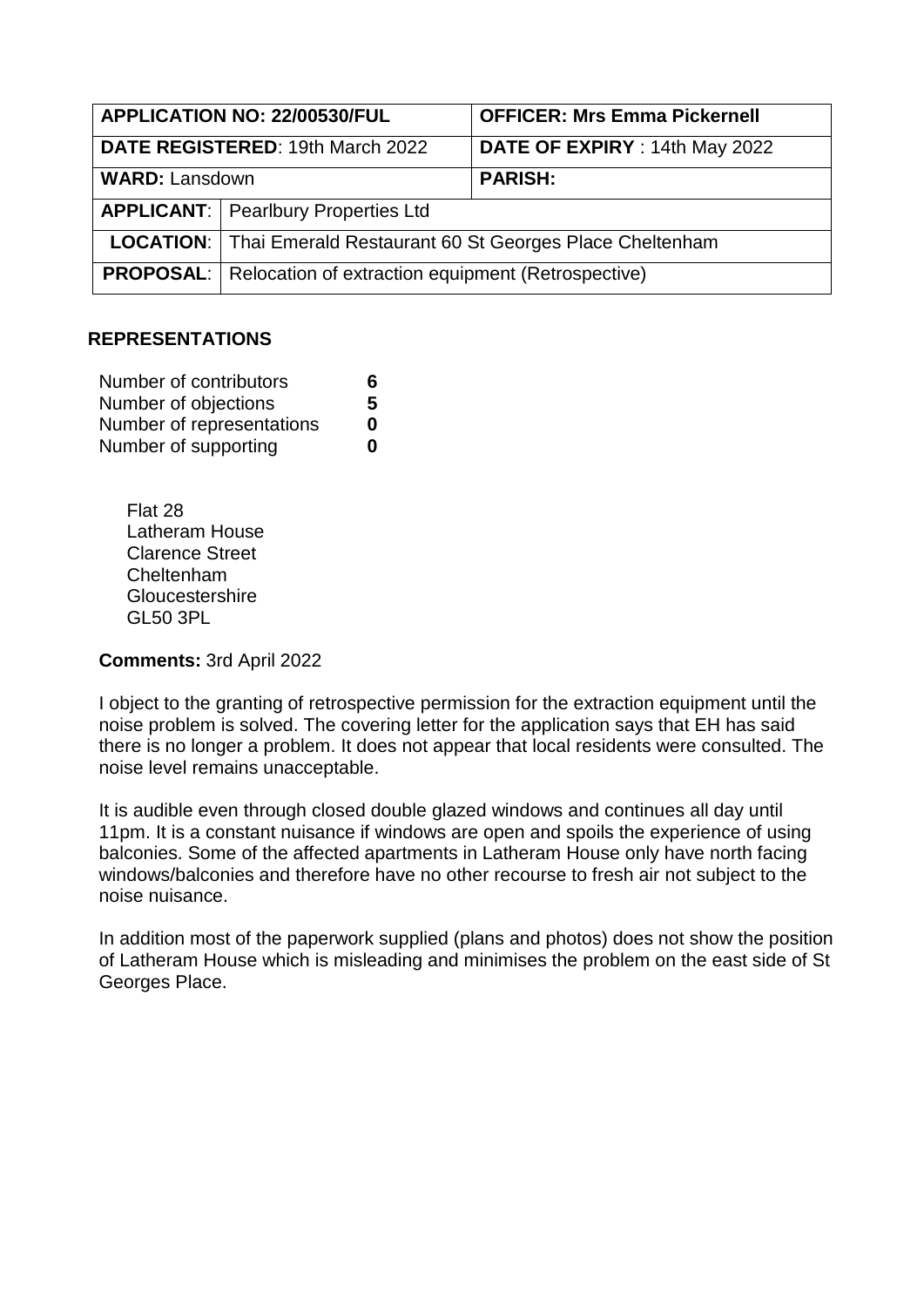| APPLICATION NO: 22/00530/FUL     |                                                                         | <b>OFFICER: Mrs Emma Pickernell</b> |
|----------------------------------|-------------------------------------------------------------------------|-------------------------------------|
| DATE REGISTERED: 19th March 2022 |                                                                         | DATE OF EXPIRY : 14th May 2022      |
| <b>WARD: Lansdown</b>            |                                                                         | <b>PARISH:</b>                      |
|                                  | <b>APPLICANT:</b>   Pearlbury Properties Ltd                            |                                     |
|                                  | <b>LOCATION:</b> Thai Emerald Restaurant 60 St Georges Place Cheltenham |                                     |
|                                  | <b>PROPOSAL:</b> Relocation of extraction equipment (Retrospective)     |                                     |

### **REPRESENTATIONS**

| Number of contributors    | 6 |
|---------------------------|---|
| Number of objections      | 5 |
| Number of representations | 0 |
| Number of supporting      | n |

Flat 28 Latheram House Clarence Street Cheltenham **Gloucestershire** GL50 3PL

**Comments:** 3rd April 2022

I object to the granting of retrospective permission for the extraction equipment until the noise problem is solved. The covering letter for the application says that EH has said there is no longer a problem. It does not appear that local residents were consulted. The noise level remains unacceptable.

It is audible even through closed double glazed windows and continues all day until 11pm. It is a constant nuisance if windows are open and spoils the experience of using balconies. Some of the affected apartments in Latheram House only have north facing windows/balconies and therefore have no other recourse to fresh air not subject to the noise nuisance.

In addition most of the paperwork supplied (plans and photos) does not show the position of Latheram House which is misleading and minimises the problem on the east side of St Georges Place.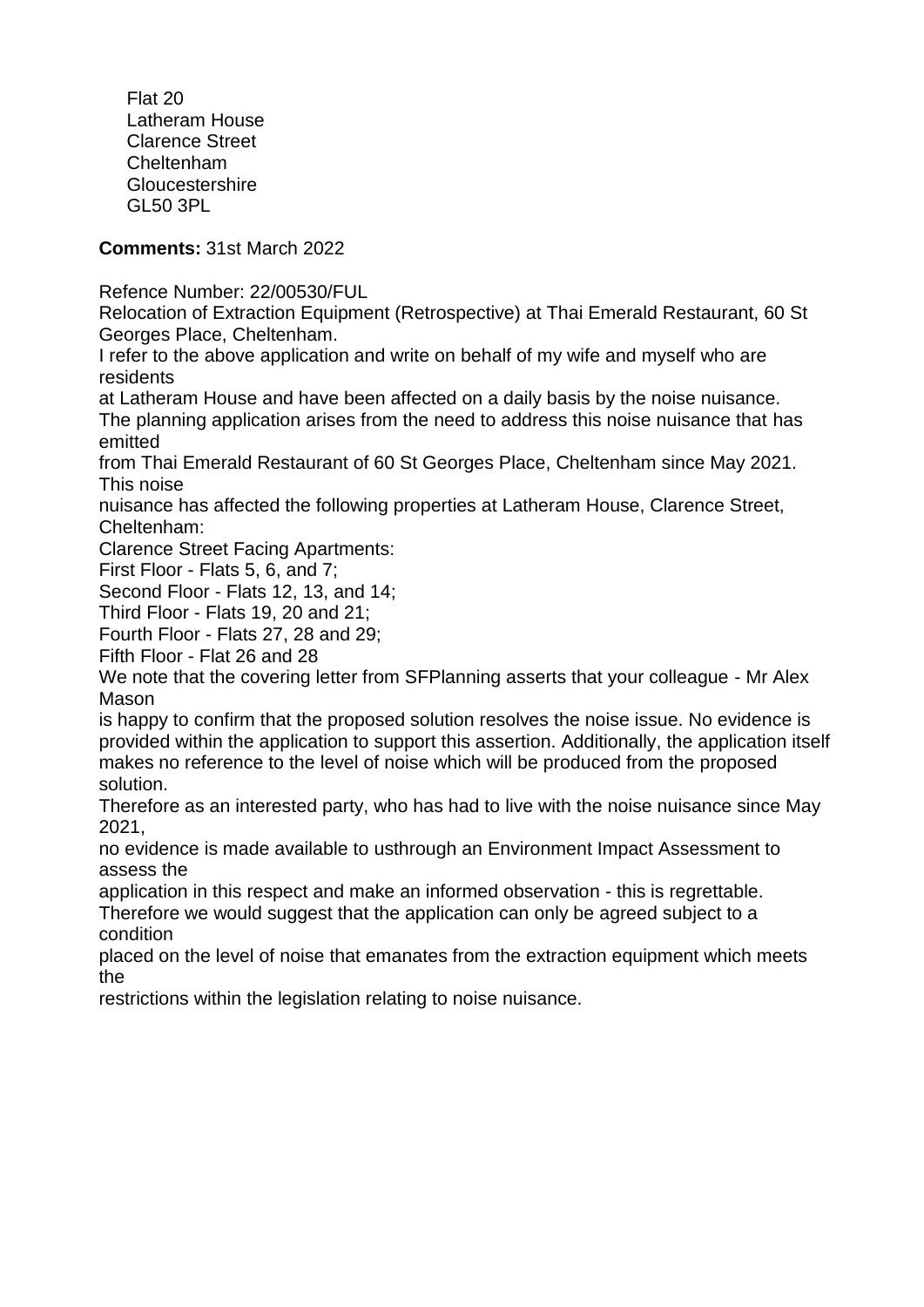Flat 20 Latheram House Clarence Street Cheltenham Gloucestershire GL50 3PL

# **Comments:** 31st March 2022

Refence Number: 22/00530/FUL

Relocation of Extraction Equipment (Retrospective) at Thai Emerald Restaurant, 60 St Georges Place, Cheltenham.

I refer to the above application and write on behalf of my wife and myself who are residents

at Latheram House and have been affected on a daily basis by the noise nuisance. The planning application arises from the need to address this noise nuisance that has emitted

from Thai Emerald Restaurant of 60 St Georges Place, Cheltenham since May 2021. This noise

nuisance has affected the following properties at Latheram House, Clarence Street, Cheltenham:

Clarence Street Facing Apartments:

First Floor - Flats 5, 6, and 7;

Second Floor - Flats 12, 13, and 14;

Third Floor - Flats 19, 20 and 21;

Fourth Floor - Flats 27, 28 and 29;

Fifth Floor - Flat 26 and 28

We note that the covering letter from SFPlanning asserts that your colleague - Mr Alex Mason

is happy to confirm that the proposed solution resolves the noise issue. No evidence is provided within the application to support this assertion. Additionally, the application itself makes no reference to the level of noise which will be produced from the proposed solution.

Therefore as an interested party, who has had to live with the noise nuisance since May 2021,

no evidence is made available to usthrough an Environment Impact Assessment to assess the

application in this respect and make an informed observation - this is regrettable.

Therefore we would suggest that the application can only be agreed subject to a condition

placed on the level of noise that emanates from the extraction equipment which meets the

restrictions within the legislation relating to noise nuisance.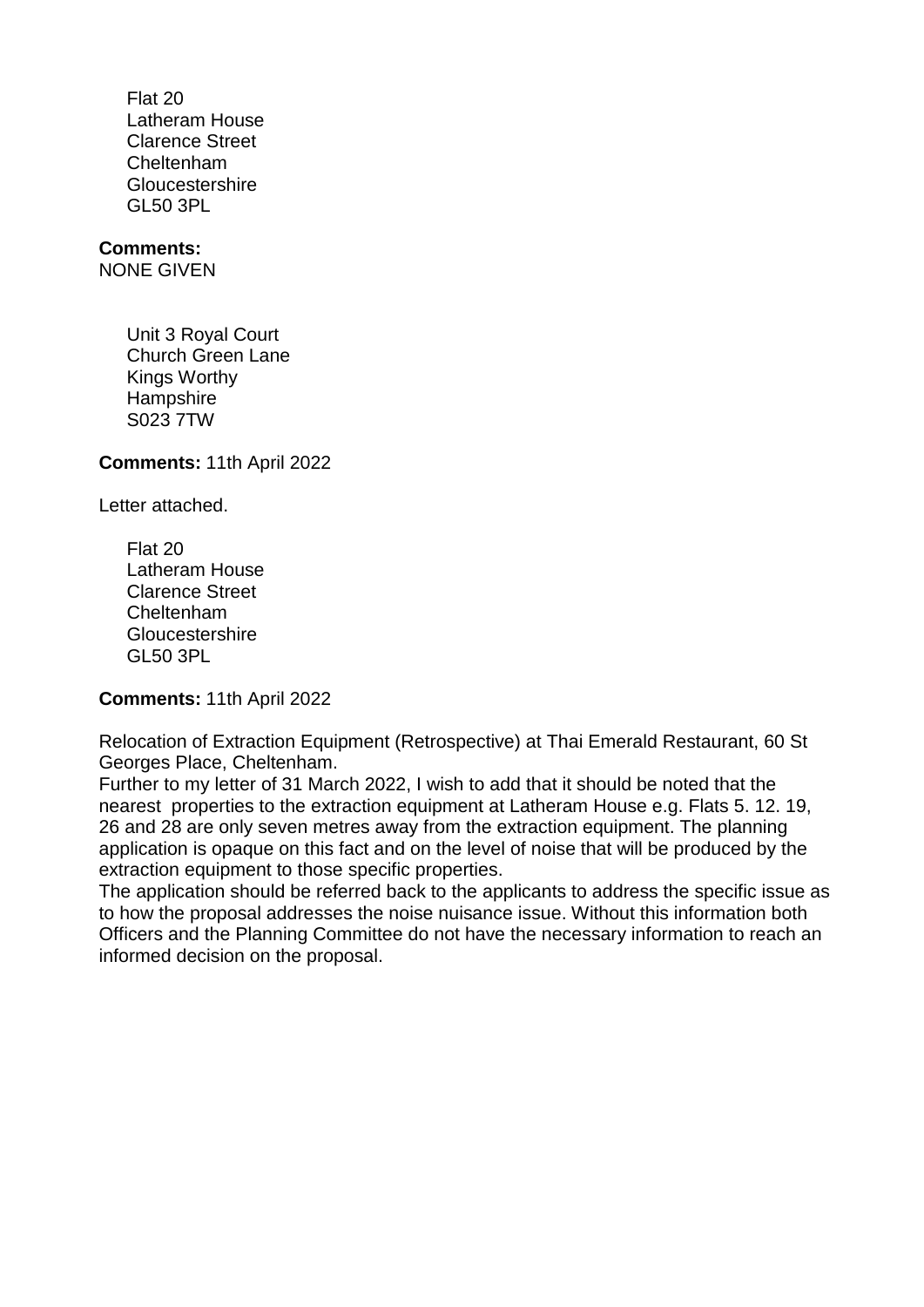Flat 20 Latheram House Clarence Street Cheltenham Gloucestershire GL50 3PL

## **Comments:**

NONE GIVEN

Unit 3 Royal Court Church Green Lane Kings Worthy **Hampshire** S023 7TW

**Comments:** 11th April 2022

Letter attached.

Flat 20 Latheram House Clarence Street Cheltenham **Gloucestershire** GL50 3PL

**Comments:** 11th April 2022

Relocation of Extraction Equipment (Retrospective) at Thai Emerald Restaurant, 60 St Georges Place, Cheltenham.

Further to my letter of 31 March 2022, I wish to add that it should be noted that the nearest properties to the extraction equipment at Latheram House e.g. Flats 5. 12. 19, 26 and 28 are only seven metres away from the extraction equipment. The planning application is opaque on this fact and on the level of noise that will be produced by the extraction equipment to those specific properties.

The application should be referred back to the applicants to address the specific issue as to how the proposal addresses the noise nuisance issue. Without this information both Officers and the Planning Committee do not have the necessary information to reach an informed decision on the proposal.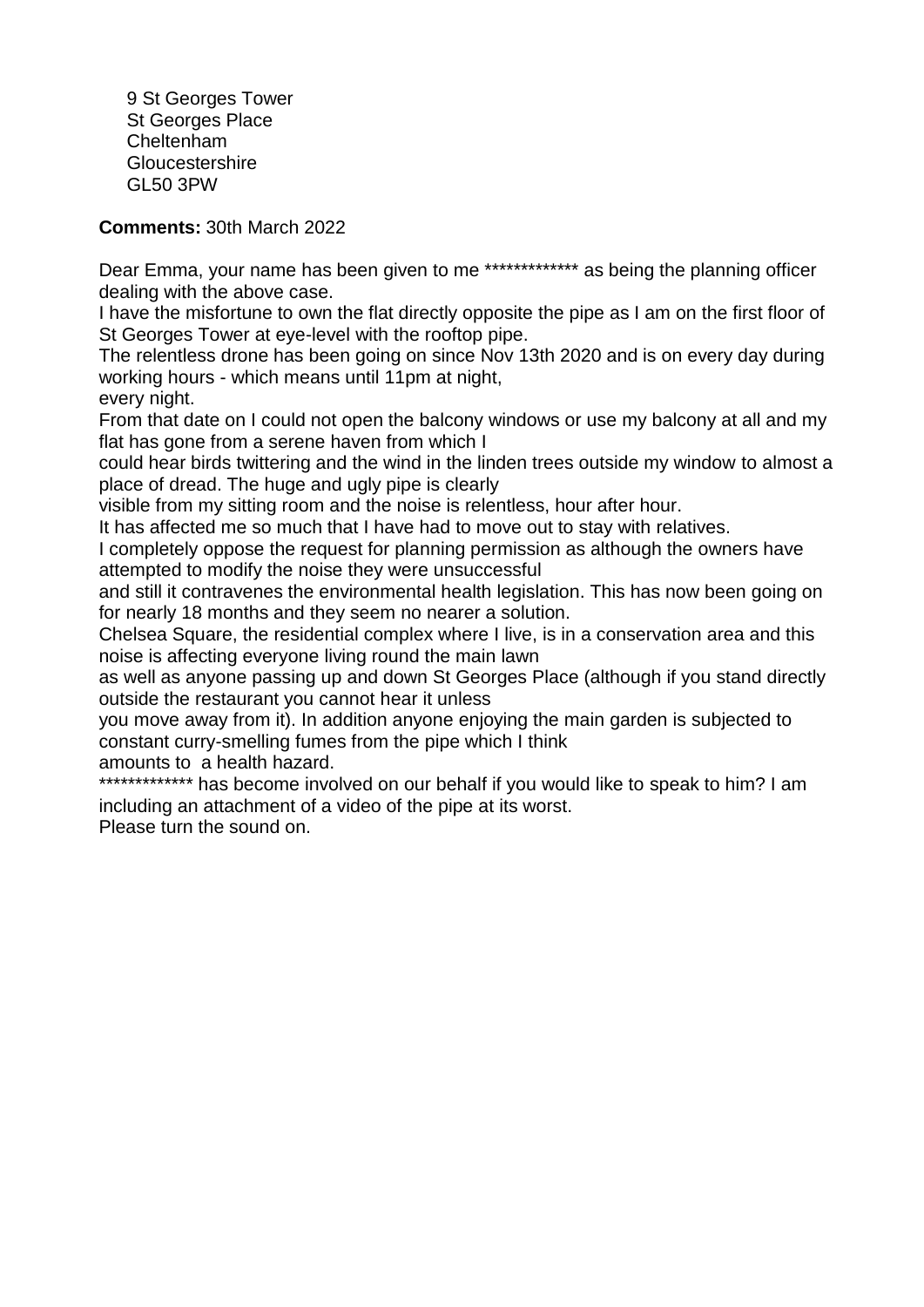9 St Georges Tower St Georges Place Cheltenham **Gloucestershire** GL50 3PW

**Comments:** 30th March 2022

Dear Emma, your name has been given to me \*\*\*\*\*\*\*\*\*\*\*\*\*\* as being the planning officer dealing with the above case.

I have the misfortune to own the flat directly opposite the pipe as I am on the first floor of St Georges Tower at eye-level with the rooftop pipe.

The relentless drone has been going on since Nov 13th 2020 and is on every day during working hours - which means until 11pm at night,

every night.

From that date on I could not open the balcony windows or use my balcony at all and my flat has gone from a serene haven from which I

could hear birds twittering and the wind in the linden trees outside my window to almost a place of dread. The huge and ugly pipe is clearly

visible from my sitting room and the noise is relentless, hour after hour.

It has affected me so much that I have had to move out to stay with relatives.

I completely oppose the request for planning permission as although the owners have attempted to modify the noise they were unsuccessful

and still it contravenes the environmental health legislation. This has now been going on for nearly 18 months and they seem no nearer a solution.

Chelsea Square, the residential complex where I live, is in a conservation area and this noise is affecting everyone living round the main lawn

as well as anyone passing up and down St Georges Place (although if you stand directly outside the restaurant you cannot hear it unless

you move away from it). In addition anyone enjoying the main garden is subjected to constant curry-smelling fumes from the pipe which I think

amounts to a health hazard.

\*\*\*\*\*\* has become involved on our behalf if you would like to speak to him? I am including an attachment of a video of the pipe at its worst.

Please turn the sound on.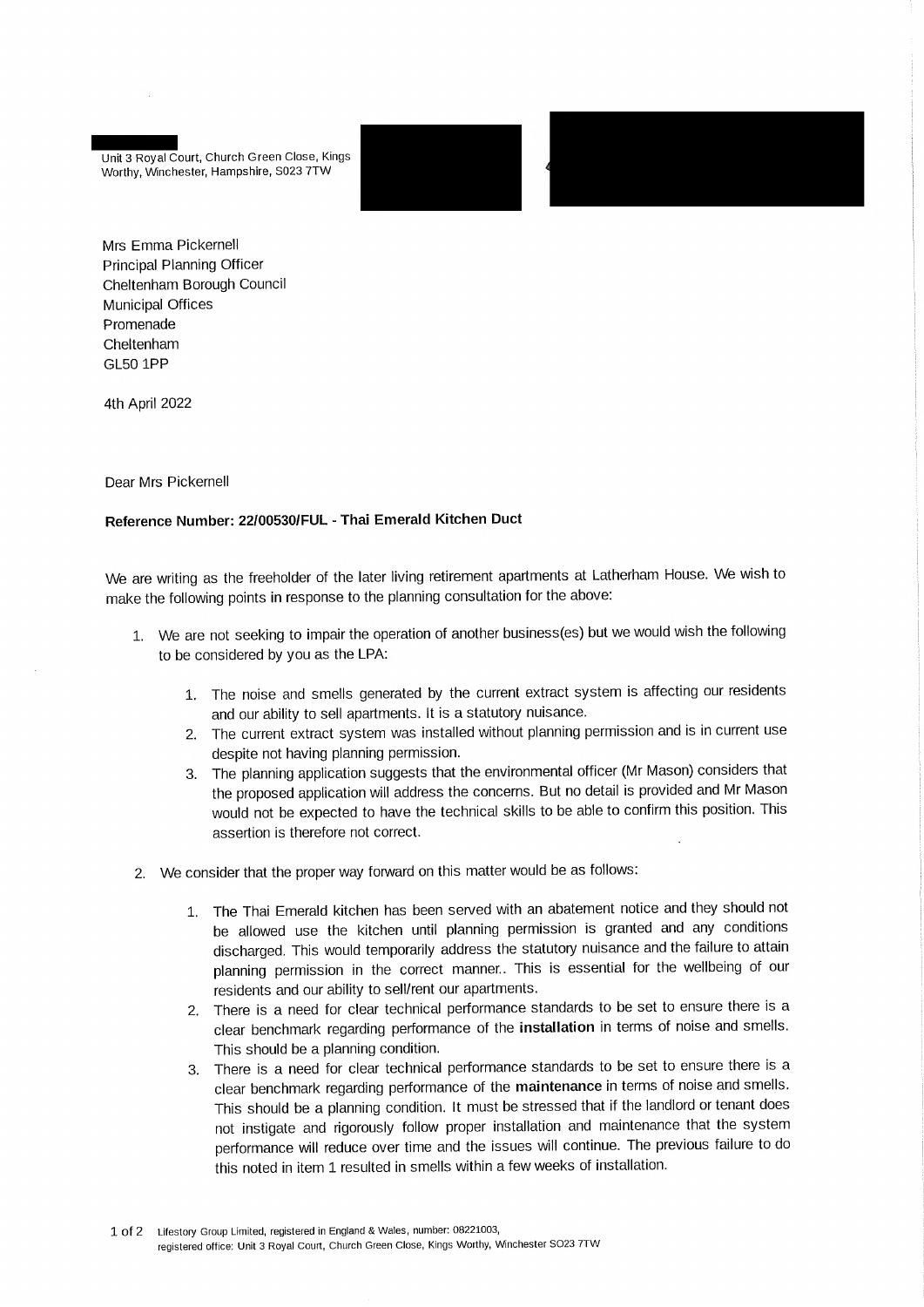Unit 3 Royal Court, Church Green Close, Kings Worthy, Winchester, Hampshire, S023 7TW

Mrs Emma Pickernell Principal Planning Officer Cheltenham Borough Council **Municipal Offices** Promenade Cheltenham **GL50 1PP** 

4th April 2022

#### Dear Mrs Pickernell

#### Reference Number: 22/00530/FUL - Thai Emerald Kitchen Duct

We are writing as the freeholder of the later living retirement apartments at Latherham House. We wish to make the following points in response to the planning consultation for the above:

- 1. We are not seeking to impair the operation of another business(es) but we would wish the following to be considered by you as the LPA:
	- 1. The noise and smells generated by the current extract system is affecting our residents and our ability to sell apartments. It is a statutory nuisance.
	- 2. The current extract system was installed without planning permission and is in current use despite not having planning permission.
	- 3. The planning application suggests that the environmental officer (Mr Mason) considers that the proposed application will address the concerns. But no detail is provided and Mr Mason would not be expected to have the technical skills to be able to confirm this position. This assertion is therefore not correct.
- 2. We consider that the proper way forward on this matter would be as follows:
	- 1. The Thai Emerald kitchen has been served with an abatement notice and they should not be allowed use the kitchen until planning permission is granted and any conditions discharged. This would temporarily address the statutory nuisance and the failure to attain planning permission in the correct manner.. This is essential for the wellbeing of our residents and our ability to sell/rent our apartments.
	- 2. There is a need for clear technical performance standards to be set to ensure there is a clear benchmark regarding performance of the installation in terms of noise and smells. This should be a planning condition.
	- There is a need for clear technical performance standards to be set to ensure there is a 3. clear benchmark regarding performance of the maintenance in terms of noise and smells. This should be a planning condition. It must be stressed that if the landlord or tenant does not instigate and rigorously follow proper installation and maintenance that the system performance will reduce over time and the issues will continue. The previous failure to do this noted in item 1 resulted in smells within a few weeks of installation.